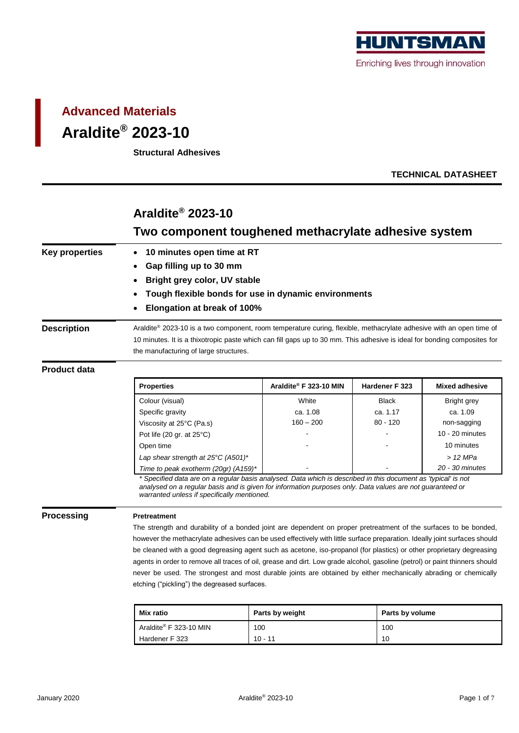

# **Advanced Materials Araldite® 2023-10**

**Structural Adhesives**

**TECHNICAL DATASHEET**

## **Araldite® 2023-10 Two component toughened methacrylate adhesive system Key properties** • **10 minutes open time at RT** • **Gap filling up to 30 mm** • **Bright grey color, UV stable** • **Tough flexible bonds for use in dynamic environments** • **Elongation at break of 100%** Description **Araldite®** 2023-10 is a two component, room temperature curing, flexible, methacrylate adhesive with an open time of 10 minutes. It is a thixotropic paste which can fill gaps up to 30 mm. This adhesive is ideal for bonding composites for the manufacturing of large structures. **Product data Properties Araldite® F 323-10 MIN Hardener F 323 Mixed adhesive** Colour (visual) **Colour Colour Colour Colour Colour** Colour Colour Arian Bright grey Specific gravity **ca. 1.08** ca. 1.08 ca. 1.17 ca. 1.09 Viscosity at 25°C (Pa.s) 160 – 200 <br>
160 – 200 120 non-sagging Pot life (20 gr. at 25°C) and the set of the set of the set of the set of the set of the set of the set of the set of the set of the set of the set of the set of the set of the set of the set of the set of the set of the s Open time and the set of the set of the set of the set of the set of the set of the set of the set of the set o *Lap shear strength at 25°C (A501)\* > 12 MPa Time to peak exotherm (20gr) (A159)\* - - 20 - 30 minutes \* Specified data are on a regular basis analysed. Data which is described in this document as 'typical' is not analysed on a regular basis and is given for information purposes only. Data values are not guaranteed or warranted unless if specifically mentioned.* **Processing Pretreatment** The strength and durability of a bonded joint are dependent on proper pretreatment of the surfaces to be bonded, however the methacrylate adhesives can be used effectively with little surface preparation. Ideally joint surfaces should be cleaned with a good degreasing agent such as acetone, iso-propanol (for plastics) or other proprietary degreasing agents in order to remove all traces of oil, grease and dirt. Low grade alcohol, gasoline (petrol) or paint thinners should never be used. The strongest and most durable joints are obtained by either mechanically abrading or chemically etching ("pickling") the degreased surfaces.

| Mix ratio              | Parts by weight | Parts by volume |
|------------------------|-----------------|-----------------|
| Araldite® F 323-10 MIN | 100             | 100             |
| Hardener F 323         | $10 - 11$       | 10              |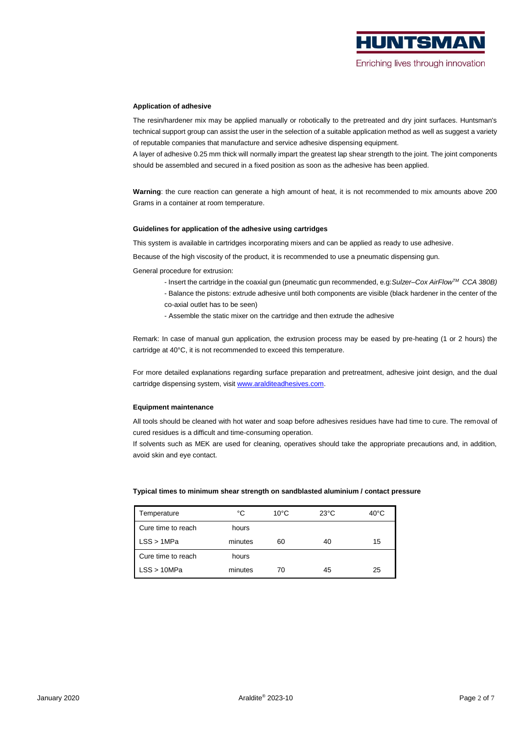

#### **Application of adhesive**

The resin/hardener mix may be applied manually or robotically to the pretreated and dry joint surfaces. Huntsman's technical support group can assist the user in the selection of a suitable application method as well as suggest a variety of reputable companies that manufacture and service adhesive dispensing equipment.

A layer of adhesive 0.25 mm thick will normally impart the greatest lap shear strength to the joint. The joint components should be assembled and secured in a fixed position as soon as the adhesive has been applied.

**Warning**: the cure reaction can generate a high amount of heat, it is not recommended to mix amounts above 200 Grams in a container at room temperature.

#### **Guidelines for application of the adhesive using cartridges**

This system is available in cartridges incorporating mixers and can be applied as ready to use adhesive.

Because of the high viscosity of the product, it is recommended to use a pneumatic dispensing gun.

General procedure for extrusion:

- Insert the cartridge in the coaxial gun (pneumatic gun recommended, e.g:*Sulzer–Cox AirFlowTM CCA 380B)*
- Balance the pistons: extrude adhesive until both components are visible (black hardener in the center of the
- co-axial outlet has to be seen)
- Assemble the static mixer on the cartridge and then extrude the adhesive

Remark: In case of manual gun application, the extrusion process may be eased by pre-heating (1 or 2 hours) the cartridge at 40°C, it is not recommended to exceed this temperature.

For more detailed explanations regarding surface preparation and pretreatment, adhesive joint design, and the dual cartridge dispensing system, visit [www.aralditeadhesives.com.](http://www.aralditeadhesives.com/)

#### **Equipment maintenance**

All tools should be cleaned with hot water and soap before adhesives residues have had time to cure. The removal of cured residues is a difficult and time-consuming operation.

If solvents such as MEK are used for cleaning, operatives should take the appropriate precautions and, in addition, avoid skin and eye contact.

| Temperature        | °C      | $10^{\circ}$ C | $23^{\circ}$ C | $40^{\circ}$ C |
|--------------------|---------|----------------|----------------|----------------|
| Cure time to reach | hours   |                |                |                |
| LSS > 1MPa         | minutes | 60             | 40             | 15             |
| Cure time to reach | hours   |                |                |                |
| LSS > 10MPa        | minutes | 70             | 45             | 25             |

#### **Typical times to minimum shear strength on sandblasted aluminium / contact pressure**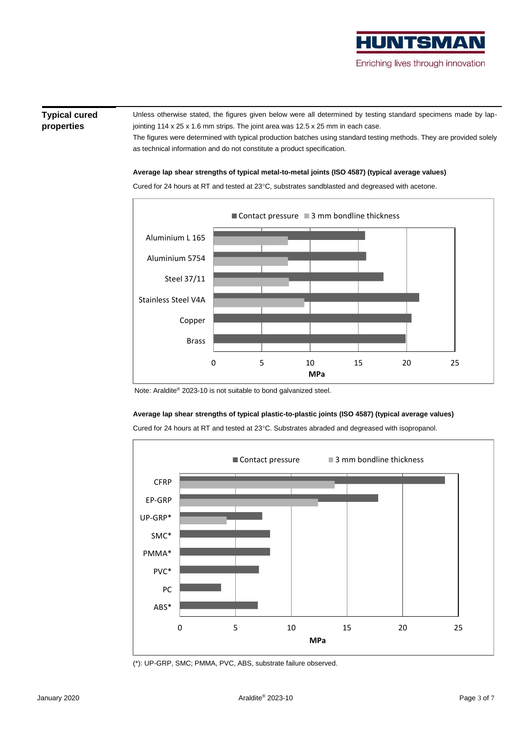# HUNTSMA

### Enriching lives through innovation

#### **Typical cured properties**

Unless otherwise stated, the figures given below were all determined by testing standard specimens made by lapjointing 114 x 25 x 1.6 mm strips. The joint area was 12.5 x 25 mm in each case.

The figures were determined with typical production batches using standard testing methods. They are provided solely as technical information and do not constitute a product specification.

#### **Average lap shear strengths of typical metal-to-metal joints (ISO 4587) (typical average values)**



Cured for 24 hours at RT and tested at 23°C, substrates sandblasted and degreased with acetone.

Note: Araldite® 2023-10 is not suitable to bond galvanized steel.

#### **Average lap shear strengths of typical plastic-to-plastic joints (ISO 4587) (typical average values)**

Cured for 24 hours at RT and tested at 23°C. Substrates abraded and degreased with isopropanol.



(\*): UP-GRP, SMC; PMMA, PVC, ABS, substrate failure observed.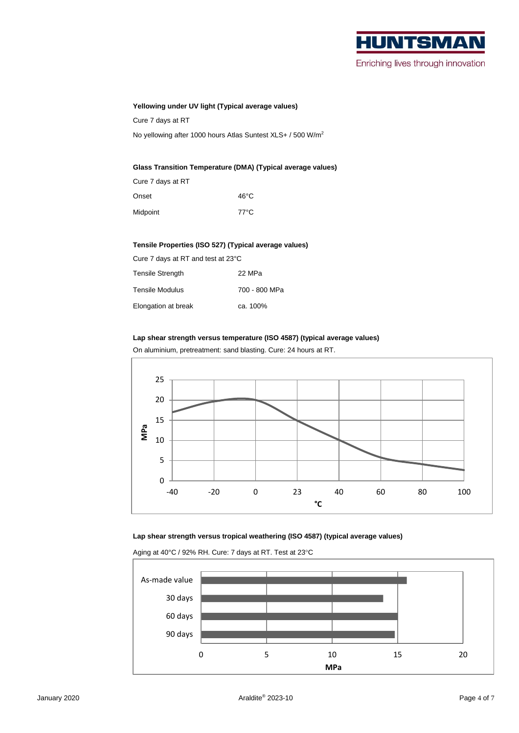

Enriching lives through innovation

#### **Yellowing under UV light (Typical average values)**

Cure 7 days at RT

No yellowing after 1000 hours Atlas Suntest XLS+ / 500 W/m<sup>2</sup>

#### **Glass Transition Temperature (DMA) (Typical average values)**

| Cure 7 days at RT |      |
|-------------------|------|
| Onset             | 46°C |
| Midpoint          | 77°C |

#### **Tensile Properties (ISO 527) (Typical average values)**

| Cure 7 days at RT and test at 23°C |               |  |  |  |
|------------------------------------|---------------|--|--|--|
| <b>Tensile Strength</b>            | 22 MPa        |  |  |  |
| Tensile Modulus                    | 700 - 800 MPa |  |  |  |
| Elongation at break                | ca. 100%      |  |  |  |

#### **Lap shear strength versus temperature (ISO 4587) (typical average values)**

On aluminium, pretreatment: sand blasting. Cure: 24 hours at RT.



#### **Lap shear strength versus tropical weathering (ISO 4587) (typical average values)**

Aging at 40°C / 92% RH. Cure: 7 days at RT. Test at 23°C

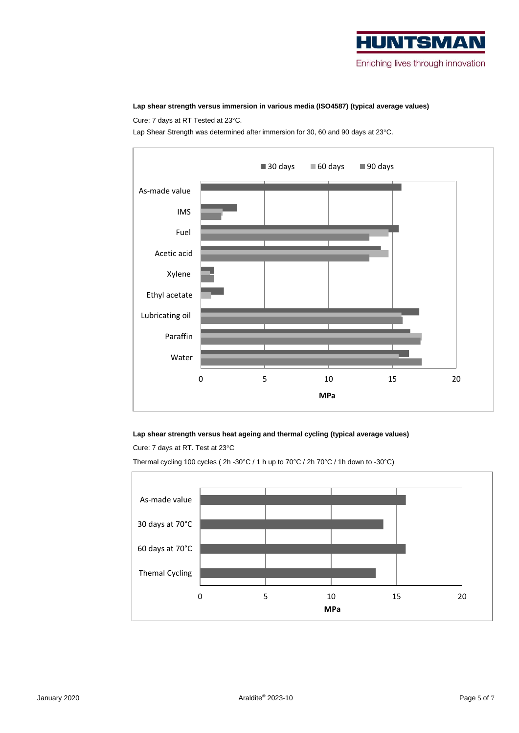

#### **Lap shear strength versus immersion in various media (ISO4587) (typical average values)**

Cure: 7 days at RT Tested at 23°C.

Lap Shear Strength was determined after immersion for 30, 60 and 90 days at 23°C.



#### **Lap shear strength versus heat ageing and thermal cycling (typical average values)**

Cure: 7 days at RT. Test at 23°C

Thermal cycling 100 cycles ( 2h -30°C / 1 h up to 70°C / 2h 70°C / 1h down to -30°C)

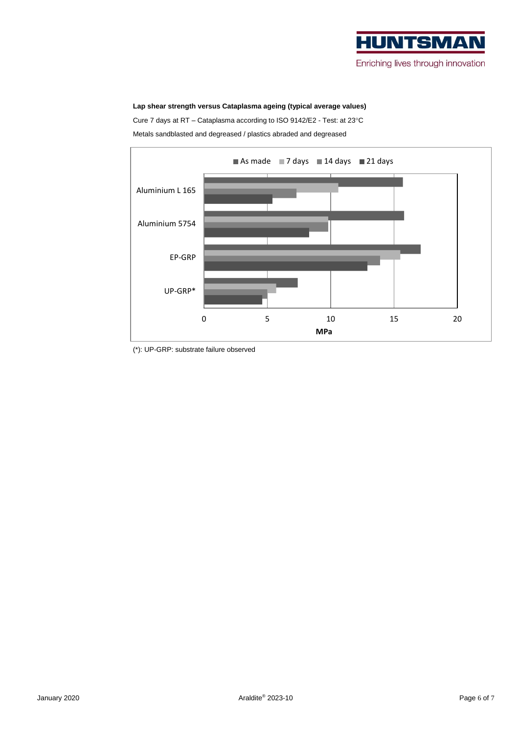

#### **Lap shear strength versus Cataplasma ageing (typical average values)**

Cure 7 days at RT - Cataplasma according to ISO 9142/E2 - Test: at 23°C

Metals sandblasted and degreased / plastics abraded and degreased



<sup>(\*):</sup> UP-GRP: substrate failure observed